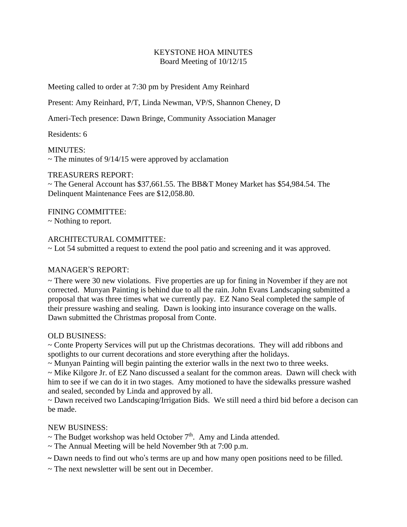# KEYSTONE HOA MINUTES Board Meeting of 10/12/15

Meeting called to order at 7:30 pm by President Amy Reinhard

Present: Amy Reinhard, P/T, Linda Newman, VP/S, Shannon Cheney, D

Ameri-Tech presence: Dawn Bringe, Community Association Manager

Residents: 6

MINUTES:  $\sim$  The minutes of 9/14/15 were approved by acclamation

## TREASURERS REPORT:

~ The General Account has \$37,661.55. The BB&T Money Market has \$54,984.54. The Delinquent Maintenance Fees are \$12,058.80.

FINING COMMITTEE: ~ Nothing to report.

## ARCHITECTURAL COMMITTEE:

~ Lot 54 submitted a request to extend the pool patio and screening and it was approved.

## MANAGER'S REPORT:

 $\sim$  There were 30 new violations. Five properties are up for fining in November if they are not corrected. Munyan Painting is behind due to all the rain. John Evans Landscaping submitted a proposal that was three times what we currently pay. EZ Nano Seal completed the sample of their pressure washing and sealing. Dawn is looking into insurance coverage on the walls. Dawn submitted the Christmas proposal from Conte.

## OLD BUSINESS:

~ Conte Property Services will put up the Christmas decorations. They will add ribbons and spotlights to our current decorations and store everything after the holidays.

~ Munyan Painting will begin painting the exterior walls in the next two to three weeks.

~ Mike Kilgore Jr. of EZ Nano discussed a sealant for the common areas. Dawn will check with him to see if we can do it in two stages. Amy motioned to have the sidewalks pressure washed and sealed, seconded by Linda and approved by all.

~ Dawn received two Landscaping/Irrigation Bids. We still need a third bid before a decison can be made.

## NEW BUSINESS:

- $\sim$  The Budget workshop was held October  $7<sup>th</sup>$ . Amy and Linda attended.
- $\sim$  The Annual Meeting will be held November 9th at 7:00 p.m.
- **~** Dawn needs to find out who's terms are up and how many open positions need to be filled.
- $\sim$  The next newsletter will be sent out in December.